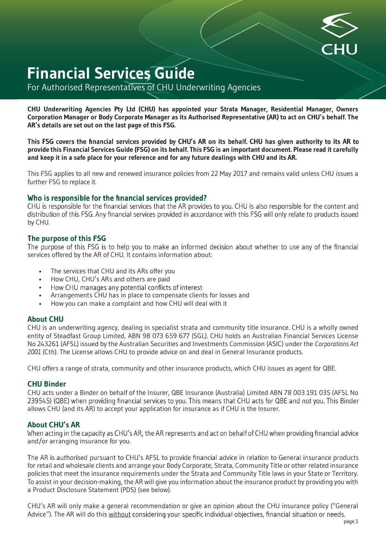

# **Financial Services Guide**

For Authorised Representatives of CHU Underwriting Agencies

**CHU Underwriting Agencies Pty Ltd (CHU) has appointed your Strata Manager, Residential Manager, Owners Corporation Manager or Body Corporate Manager as its Authorised Representative (AR) to act on CHU's behalf. The AR's details are set out on the last page of this FSG.**

This FSG covers the financial services provided by CHU's AR on its behalf. CHU has given authority to its AR to **provide this Financial Services Guide (FSG) on its behalf. This FSG is an important document. Please read it carefully and keep it in a safe place for your reference and for any future dealings with CHU and its AR.**

This FSG applies to all new and renewed insurance policies from 22 May 2017 and remains valid unless CHU issues a further FSG to replace it.

## Who is responsible for the financial services provided?

CHU is responsible for the financial services that the AR provides to you. CHU is also responsible for the content and distribution of this FSG. Any financial services provided in accordance with this FSG will only relate to products issued by CHU.

## **The purpose of this FSG**

The purpose of this FSG is to help you to make an informed decision about whether to use any of the financial services offered by the AR of CHU. It contains information about:

- The services that CHU and its ARs offer you
- How CHU, CHU's ARs and others are paid
- How CHU manages any potential conflicts of interest •
- Arrangements CHU has in place to compensate clients for losses and
- How you can make a complaint and how CHU will deal with it

#### **About CHU**

CHU is an underwriting agency, dealing in specialist strata and community title insurance. CHU is a wholly owned entity of Steadfast Group Limited, ABN 98 073 659 677 (SGL). CHU holds an Australian Financial Services License No 243261 (AFSL) issued by the Australian Securities and Investments Commission (ASIC) under the *Corporations Act 2001* (Cth). The License allows CHU to provide advice on and deal in General Insurance products.

CHU offers a range of strata, community and other insurance products, which CHU issues as agent for QBE.

#### **CHU Binder**

CHU acts under a Binder on behalf of the Insurer, QBE Insurance (Australia) Limited ABN 78 003 191 035 (AFSL No 239545) (QBE) when providing financial services to you. This means that CHU acts for QBE and not you. This Binder allows CHU (and its AR) to accept your application for insurance as if CHU is the Insurer.

#### **About CHU's AR**

When acting in the capacity as CHU's AR, the AR represents and act on behalf of CHU when providing financial advice and/or arranging insurance for you.

The AR is authorised pursuant to CHU's AFSL to provide financial advice in relation to General insurance products for retail and wholesale clients and arrange your Body Corporate, Strata, Community Title or other related insurance policies that meet the insurance requirements under the Strata and Community Title laws in your State or Territory. To assist in your decision-making, the AR will give you information about the insurance product by providing you with a Product Disclosure Statement (PDS) (see below).

CHU's AR will only make a general recommendation or give an opinion about the CHU insurance policy ("General Advice"). The AR will do this without considering your specific individual objectives, financial situation or needs.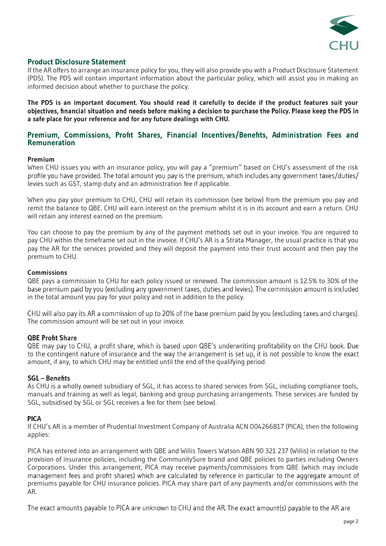

## **Product Disclosure Statement**

If the AR offers to arrange an insurance policy for you, they will also provide you with a Product Disclosure Statement (PDS). The PDS will contain important information about the particular policy, which will assist you in making an informed decision about whether to purchase the policy.

**The PDS is an important document. You should read it carefully to decide if the product features suit your** objectives, financial situation and needs before making a decision to purchase the Policy. Please keep the PDS in **a safe place for your reference and for any future dealings with CHU.**

## Premium, Commissions, Profit Shares, Financial Incentives/Benefits, Administration Fees and **Remuneration**

#### **Premium**

When CHU issues you with an insurance policy, you will pay a "premium" based on CHU's assessment of the risk profile you have provided. The total amount you pay is the premium, which includes any government taxes/duties/ levies such as GST, stamp duty and an administration fee if applicable.

When you pay your premium to CHU, CHU will retain its commission (see below) from the premium you pay and remit the balance to QBE. CHU will earn interest on the premium whilst it is in its account and earn a return. CHU will retain any interest earned on the premium.

You can choose to pay the premium by any of the payment methods set out in your invoice. You are required to pay CHU within the timeframe set out in the invoice. If CHU's AR is a Strata Manager, the usual practice is that you pay the AR for the services provided and they will deposit the payment into their trust account and then pay the premium to CHU.

#### **Commissions**

QBE pays a commission to CHU for each policy issued or renewed. The commission amount is 12.5% to 30% of the base premium paid by you (excluding any government taxes, duties and levies). The commission amount is included in the total amount you pay for your policy and not in addition to the policy.

CHU will also pay its AR a commission of up to 20% of the base premium paid by you (excluding taxes and charges). The commission amount will be set out in your invoice.

## **QBE Profit Share**

QBE may pay to CHU, a profit share, which is based upon QBE's underwriting profitability on the CHU book. Due to the contingent nature of insurance and the way the arrangement is set up, it is not possible to know the exact amount, if any, to which CHU may be entitled until the end of the qualifying period.

#### **SGL** - Benefits

As CHU is a wholly owned subsidiary of SGL, it has access to shared services from SGL, including compliance tools, manuals and training as well as legal, banking and group purchasing arrangements. These services are funded by SGL, subsidised by SGL or SGL receives a fee for them (see below).

#### **PICA**

If CHU's AR is a member of Prudential Investment Company of Australia ACN 004266817 (PICA), then the following applies:

PICA has entered into an arrangement with QBE and Willis Towers Watson ABN 90 321 237 (Willis) in relation to the provision of insurance policies, including the CommunitySure brand and QBE policies to parties including Owners Corporations. Under this arrangement, PICA may receive payments/commissions from QBE (which may include management fees and profit shares) which are calculated by reference in particular to the aggregate amount of premiums payable for CHU insurance policies. PICA may share part of any payments and/or commissions with the AR.

The exact amounts payable to PICA are unknown to CHU and the AR. The exact amount(s) payable to the AR are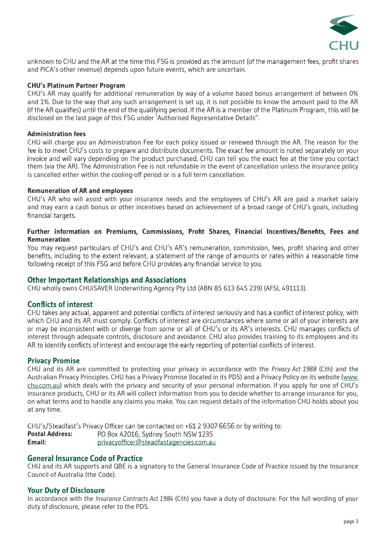

unknown to CHU and the AR at the time this FSG is provided as the amount (of the management fees, profit shares and PICA's other revenue) depends upon future events, which are uncertain.

#### **CHU's Platinum Partner Program**

CHU's AR may qualify for additional remuneration by way of a volume based bonus arrangement of between 0% and 1%. Due to the way that any such arrangement is set up, it is not possible to know the amount paid to the AR<br>(if the AR qualifies) until the end of the qualifying period. If the AR is a member of the Platinum Program, disclosed on the last page of this FSG under 'Authorised Representative Details".

#### **Administration fees**

CHU will charge you an Administration Fee for each policy issued or renewed through the AR. The reason for the fee is to meet CHU's costs to prepare and distribute documents. The exact fee amount is noted separately on your invoice and will vary depending on the product purchased. CHU can tell you the exact fee at the time you contact them (via the AR). The Administration Fee is not refundable in the event of cancellation unless the insurance policy is cancelled either within the cooling-off period or is a full term cancellation.

#### **Remuneration of AR and employees**

CHU's AR who will assist with your insurance needs and the employees of CHU's AR are paid a market salary and may earn a cash bonus or other incentives based on achievement of a broad range of CHU's goals, including financial targets.

#### Further information on Premiums, Commissions, Profit Shares, Financial Incentives/Benefits, Fees and **Remuneration**

You may request particulars of CHU's and CHU's AR's remuneration, commission, fees, profit sharing and other benefits, including to the extent relevant, a statement of the range of amounts or rates within a reasonable time following receipt of this FSG and before CHU provides any financial service to you.

#### **Other Important Relationships and Associations**

CHU wholly owns CHUiSAVER Underwriting Agency Pty Ltd (ABN 85 613 645 239) (AFSL 491113).

#### **Conflicts of interest**

CHU takes any actual, apparent and potential conflicts of interest seriously and has a conflict of interest policy, with which CHU and its AR must comply. Conflicts of interest are circumstances where some or all of your interests are or may be inconsistent with or diverge from some or all of CHU's or its AR's interests. CHU manages conflicts of interest through adequate controls, disclosure and avoidance. CHU also provides training to its employees and its AR to identify conflicts of interest and encourage the early reporting of potential conflicts of interest.

#### **Privacy Promise**

CHU and its AR are committed to protecting your privacy in accordance with the *Privacy Act 1988* (Cth) and the Australian Privacy Principles. CHU has a Privacy Promise (located in its PDS) and a Privacy Policy on its website (www. chu.com.au) which deals with the privacy and security of your personal information. If you apply for one of CHU's insurance products, CHU or its AR will collect information from you to decide whether to arrange insurance for you, on what terms and to handle any claims you make. You can request details of the information CHU holds about you at any time.

CHU's/Steadfast's Privacy Officer can be contacted on +61 2 9307 6656 or by writing to: PO Box A2016, Sydney South NSW 1235 **Postal Address: Email:** privacyofficer@steadfastagencies.com.au

## **General Insurance Code of Practice**

CHU and its AR supports and QBE is a signatory to the General Insurance Code of Practice issued by the Insurance Council of Australia (the Code).

#### **Your Duty of Disclosure**

In accordance with the *Insurance Contracts Act 1984* (Cth) you have a duty of disclosure. For the full wording of your duty of disclosure, please refer to the PDS.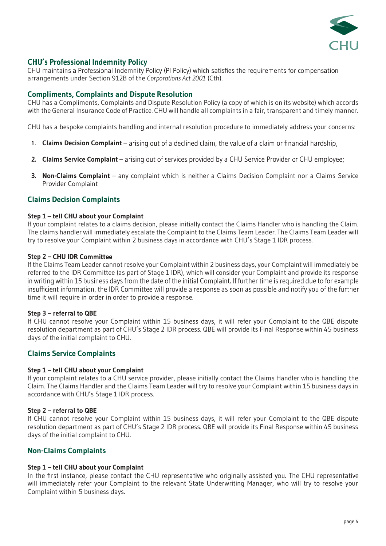

## **CHU's Professional Indemnity Policy**

CHU maintains a Professional Indemnity Policy (PI Policy) which satisfies the requirements for compensation arrangements under Section 912B of the *Corporations Act 2001* (Cth).

## **Compliments, Complaints and Dispute Resolution**

CHU has a Compliments, Complaints and Dispute Resolution Policy (a copy of which is on its website) which accords with the General Insurance Code of Practice. CHU will handle all complaints in a fair, transparent and timely manner.

CHU has a bespoke complaints handling and internal resolution procedure to immediately address your concerns:

- 1. **Claims Decision Complaint** arising out of a declined claim, the value of a claim or financial hardship;
- 2. Claims Service Complaint arising out of services provided by a CHU Service Provider or CHU employee;
- **3. Non-Claims Complaint** any complaint which is neither a Claims Decision Complaint nor a Claims Service Provider Complaint

## **Claims Decision Complaints**

#### **Step 1 – tell CHU about your Complaint**

If your complaint relates to a claims decision, please initially contact the Claims Handler who is handling the Claim. The claims handler will immediately escalate the Complaint to the Claims Team Leader. The Claims Team Leader will try to resolve your Complaint within 2 business days in accordance with CHU's Stage 1 IDR process.

#### **Step 2 – CHU IDR Committee**

If the Claims Team Leader cannot resolve your Complaint within 2 business days, your Complaint will immediately be referred to the IDR Committee (as part of Stage 1 IDR), which will consider your Complaint and provide its response in writing within 15 business days from the date of the initial Complaint. If further time is required due to for example insufficient information, the IDR Committee will provide a response as soon as possible and notify you of the further time it will require in order in order to provide a response.

#### **Step 3 – referral to QBE**

If CHU cannot resolve your Complaint within 15 business days, it will refer your Complaint to the QBE dispute resolution department as part of CHU's Stage 2 IDR process. QBE will provide its Final Response within 45 business days of the initial complaint to CHU.

#### **Claims Service Complaints**

#### **Step 1 – tell CHU about your Complaint**

If your complaint relates to a CHU service provider, please initially contact the Claims Handler who is handling the Claim. The Claims Handler and the Claims Team Leader will try to resolve your Complaint within 15 business days in accordance with CHU's Stage 1 IDR process.

#### **Step 2 – referral to QBE**

If CHU cannot resolve your Complaint within 15 business days, it will refer your Complaint to the QBE dispute resolution department as part of CHU's Stage 2 IDR process. QBE will provide its Final Response within 45 business days of the initial complaint to CHU.

#### **Non-Claims Complaints**

#### **Step 1 – tell CHU about your Complaint**

In the first instance, please contact the CHU representative who originally assisted you. The CHU representative will immediately refer your Complaint to the relevant State Underwriting Manager, who will try to resolve your Complaint within 5 business days.